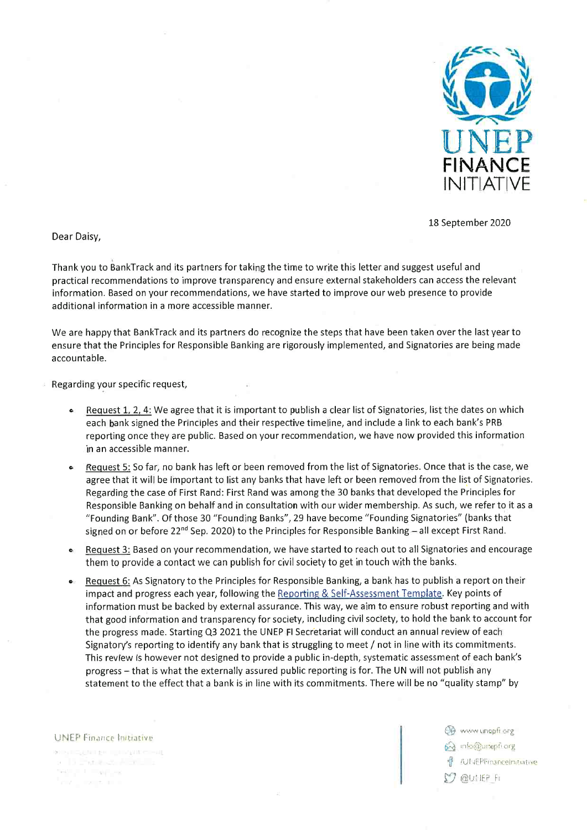

18 September 2020

Dear Daisy,

Thank you to BankTrack and its partners for taking the time to write this letter and suggest useful and practical recommendations to improve transparency and ensure external stakeholders can access the relevant information. Based on your recommendations, we have started to improve our web presence to provide additional information in a more accessible manner.

We are happy that BankTrack and its partners do recognize the steps that have been taken over the last year to ensure that the Principles for Responsible Banking are rigorously implemented, and Signatories are being made accountable.

Regarding your specific request,

- Request 1, 2, 4: We agree that it is important to publish a clear list of Signatories, list the dates on which each bank signed the Principles and their respective timeline, and include a link to each bank's PRB reporting once they are public. Based on your recommendation, we have now provided this information in an accessible manner.
- Request 5: So far, no bank has left or been removed from the list of Signatories. Once that is the case, we agree that it will be important to list any banks that have left or been removed from the list of Signatories. Regarding the case of First Rand: First Rand was among the 30 banks that developed the Principles for Responsible Banking on behalf and in consultation with our wider membership. As such, we refer to it as a "Founding Bank". Of those 30 "Founding Banks", 29 have become "Founding Signatories" (banks that signed on or before 22<sup>nd</sup> Sep. 2020) to the Principles for Responsible Banking - all except First Rand.
- Request 3: Based on your recommendation, we have started to reach out to all Signatories and encourage them to provide a contact we can publish for civil society to get in touch with the banks.
- As Signatory to the Principles for Responsible Banking, a bank has to publish a report on their impact and progress each year, following the Reporting & Self-Assessment Template. Key points of information must be backed by external assurance. This way, we aim to ensure robust reporting and with that good information and transparency for society, including civil society, to hold the bank to account for the progress made. Starting Q3 2021 the UNEP FI Secretariat will conduct an annual review of each Signatory's reporting to identify any bank that is struggling to meet / not in line with its commitments. This review is however not designed to provide a public in-depth, systematic assessment of each bank's progress - that is what the externally assured public reporting is for. The UN will not publish any statement to the effect that a bank is in line with its commitments. There will be no "quality stamp" by

**SOUTHER TOTAL REPORT** 19 Port Rock of Street ter and the state of **PIX** Links for Inc.

UNEP Finance Initiative **@** www.unepfi.org a info@unepfi.org **イントモト**FiranceInstative  $7$  @UNEP FI